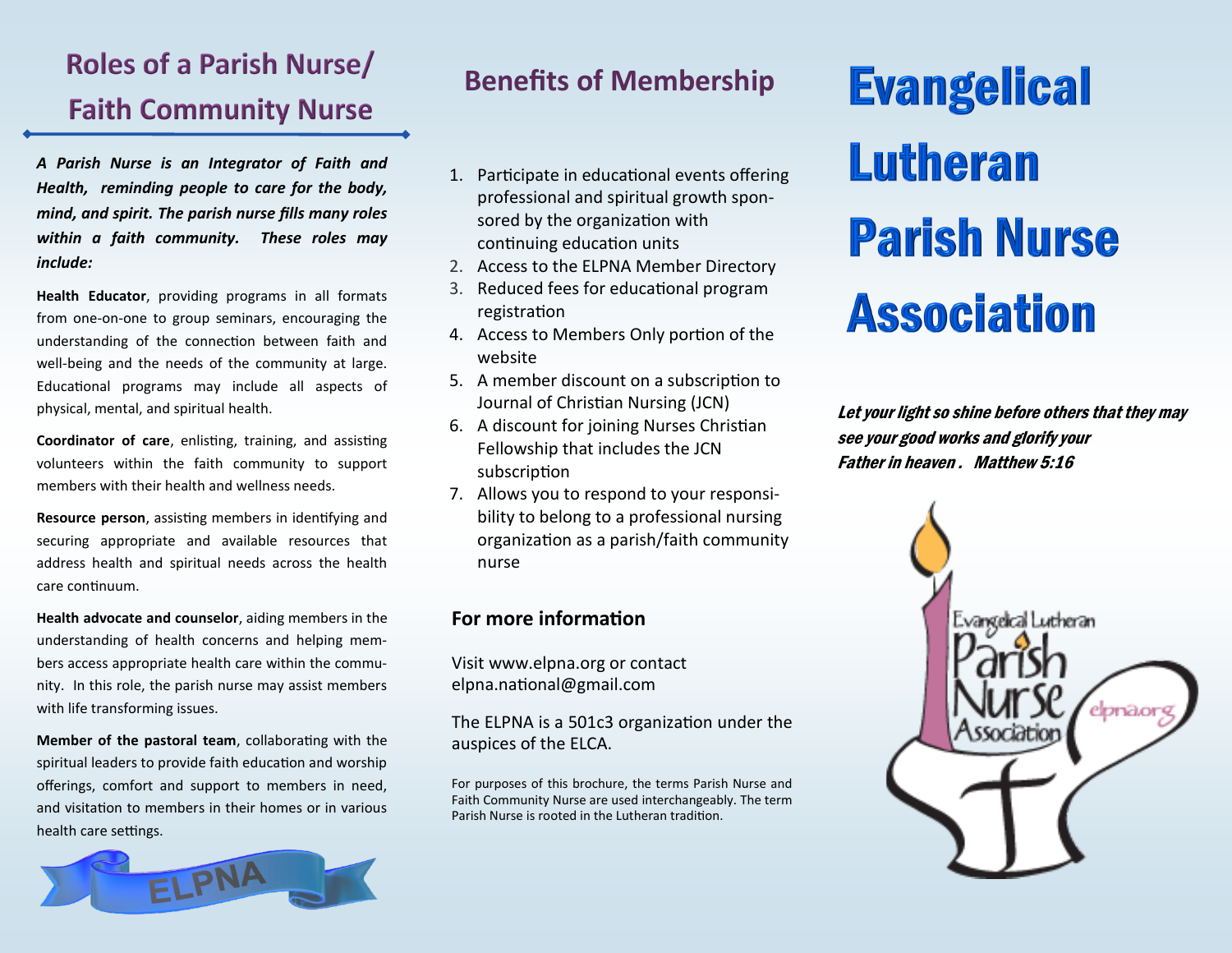# **Roles of a Parish Nurse/ Faith Community Nurse**

*A Parish Nurse is an Integrator of Faith and Health, reminding people to care for the body, mind, and spirit. The parish nurse fills many roles within a faith community. These roles may include:* 

**Health Educator**, providing programs in all formats from one-on-one to group seminars, encouraging the understanding of the connection between faith and well-being and the needs of the community at large. Educational programs may include all aspects of physical, mental, and spiritual health.

**Coordinator of care**, enlisting, training, and assisting volunteers within the faith community to support members with their health and wellness needs.

**Resource person**, assisting members in identifying and securing appropriate and available resources that address health and spiritual needs across the health care continuum.

**Health advocate and counselor**, aiding members in the understanding of health concerns and helping members access appropriate health care within the community. In this role, the parish nurse may assist members with life transforming issues.

**Member of the pastoral team**, collaborating with the spiritual leaders to provide faith education and worship offerings, comfort and support to members in need, and visitation to members in their homes or in various health care settings.



## **Benefits of Membership**

- 1. Participate in educational events offering professional and spiritual growth sponsored by the organization with continuing education units
- 2. Access to the ELPNA Member Directory
- 3. Reduced fees for educational program registration
- 4. Access to Members Only portion of the website
- 5. A member discount on a subscription to Journal of Christian Nursing (JCN)
- 6. A discount for joining Nurses Christian Fellowship that includes the JCN subscription
- 7. Allows you to respond to your responsibility to belong to a professional nursing organization as a parish/faith community nurse

## **For more information**

Visit www.elpna.org or contact elpna.national@gmail.com

The ELPNA is a 501c3 organization under the auspices of the ELCA.

For purposes of this brochure, the terms Parish Nurse and Faith Community Nurse are used interchangeably. The term Parish Nurse is rooted in the Lutheran tradition.

# **Evangelical** Lutheran **Parish Nurse Association**

Let your light so shine before others that they may see your good works and glorify your Father in heaven . Matthew 5:16